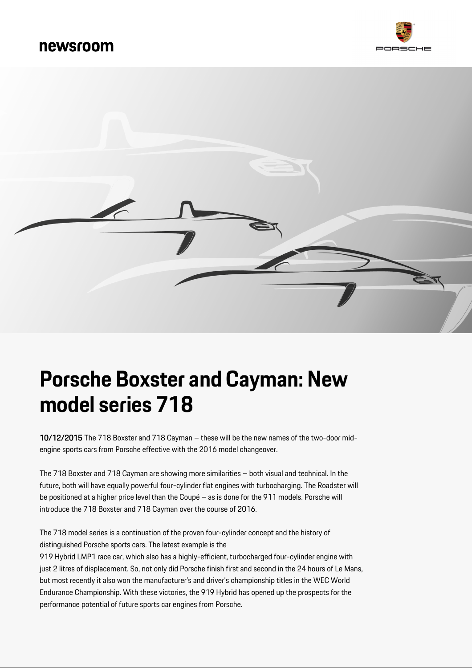# newsroom





# **Porsche Boxster and Cayman: New model series 718**

10/12/2015 The 718 Boxster and 718 Cayman – these will be the new names of the two-door midengine sports cars from Porsche effective with the 2016 model changeover.

The 718 Boxster and 718 Cayman are showing more similarities – both visual and technical. In the future, both will have equally powerful four-cylinder flat engines with turbocharging. The Roadster will be positioned at a higher price level than the Coupé – as is done for the 911 models. Porsche will introduce the 718 Boxster and 718 Cayman over the course of 2016.

The 718 model series is a continuation of the proven four-cylinder concept and the history of distinguished Porsche sports cars. The latest example is the

919 Hybrid LMP1 race car, which also has a highly-efficient, turbocharged four-cylinder engine with just 2 litres of displacement. So, not only did Porsche finish first and second in the 24 hours of Le Mans, but most recently it also won the manufacturer's and driver's championship titles in the WEC World Endurance Championship. With these victories, the 919 Hybrid has opened up the prospects for the performance potential of future sports car engines from Porsche.